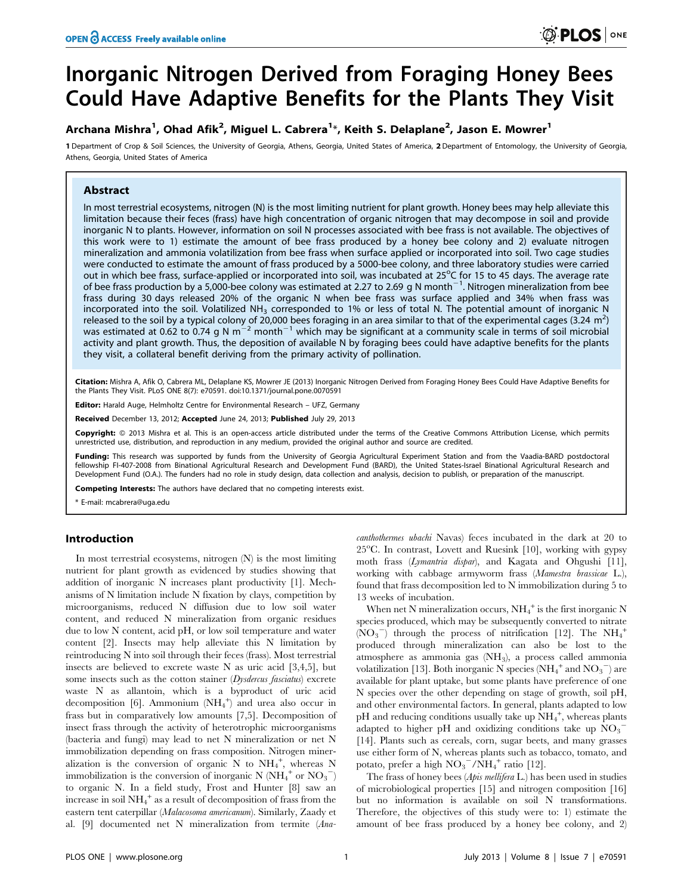# Inorganic Nitrogen Derived from Foraging Honey Bees Could Have Adaptive Benefits for the Plants They Visit

# Archana Mishra<sup>1</sup>, Ohad Afik<sup>2</sup>, Miguel L. Cabrera<sup>1</sup>\*, Keith S. Delaplane<sup>2</sup>, Jason E. Mowrer<sup>1</sup>

1 Department of Crop & Soil Sciences, the University of Georgia, Athens, Georgia, United States of America, 2 Department of Entomology, the University of Georgia, Athens, Georgia, United States of America

# Abstract

In most terrestrial ecosystems, nitrogen (N) is the most limiting nutrient for plant growth. Honey bees may help alleviate this limitation because their feces (frass) have high concentration of organic nitrogen that may decompose in soil and provide inorganic N to plants. However, information on soil N processes associated with bee frass is not available. The objectives of this work were to 1) estimate the amount of bee frass produced by a honey bee colony and 2) evaluate nitrogen mineralization and ammonia volatilization from bee frass when surface applied or incorporated into soil. Two cage studies were conducted to estimate the amount of frass produced by a 5000-bee colony, and three laboratory studies were carried out in which bee frass, surface-applied or incorporated into soil, was incubated at 25°C for 15 to 45 days. The average rate of bee frass production by a 5,000-bee colony was estimated at 2.27 to 2.69 g N month<sup>-1</sup>. Nitrogen mineralization from bee frass during 30 days released 20% of the organic N when bee frass was surface applied and 34% when frass was incorporated into the soil. Volatilized NH<sub>3</sub> corresponded to 1% or less of total N. The potential amount of inorganic N released to the soil by a typical colony of 20,000 bees foraging in an area similar to that of the experimental cages (3.24 m<sup>2</sup>) was estimated at 0.62 to 0.74 g N m<sup>-2</sup> month<sup>-1</sup> which may be significant at a community scale in terms of soil microbial activity and plant growth. Thus, the deposition of available N by foraging bees could have adaptive benefits for the plants they visit, a collateral benefit deriving from the primary activity of pollination.

Citation: Mishra A, Afik O, Cabrera ML, Delaplane KS, Mowrer JE (2013) Inorganic Nitrogen Derived from Foraging Honey Bees Could Have Adaptive Benefits for the Plants They Visit. PLoS ONE 8(7): e70591. doi:10.1371/journal.pone.0070591

Editor: Harald Auge, Helmholtz Centre for Environmental Research - UFZ, Germany

Received December 13, 2012; Accepted June 24, 2013; Published July 29, 2013

Copyright: © 2013 Mishra et al. This is an open-access article distributed under the terms of the Creative Commons Attribution License, which permits unrestricted use, distribution, and reproduction in any medium, provided the original author and source are credited.

Funding: This research was supported by funds from the University of Georgia Agricultural Experiment Station and from the Vaadia-BARD postdoctoral fellowship FI-407-2008 from Binational Agricultural Research and Development Fund (BARD), the United States-Israel Binational Agricultural Research and Development Fund (O.A.). The funders had no role in study design, data collection and analysis, decision to publish, or preparation of the manuscript.

Competing Interests: The authors have declared that no competing interests exist.

\* E-mail: mcabrera@uga.edu

#### Introduction

In most terrestrial ecosystems, nitrogen (N) is the most limiting nutrient for plant growth as evidenced by studies showing that addition of inorganic N increases plant productivity [1]. Mechanisms of N limitation include N fixation by clays, competition by microorganisms, reduced N diffusion due to low soil water content, and reduced N mineralization from organic residues due to low N content, acid pH, or low soil temperature and water content [2]. Insects may help alleviate this N limitation by reintroducing N into soil through their feces (frass). Most terrestrial insects are believed to excrete waste N as uric acid [3,4,5], but some insects such as the cotton stainer (Dysdercus fasciatus) excrete waste N as allantoin, which is a byproduct of uric acid decomposition [6]. Ammonium  $(NH_4^+)$  and urea also occur in frass but in comparatively low amounts [7,5]. Decomposition of insect frass through the activity of heterotrophic microorganisms (bacteria and fungi) may lead to net N mineralization or net N immobilization depending on frass composition. Nitrogen mineralization is the conversion of organic N to  $NH_4^+$ , whereas N immobilization is the conversion of inorganic N  $(NH_4^+$  or  $NO_3^-)$ to organic N. In a field study, Frost and Hunter [8] saw an increase in soil  $NH_4^+$  as a result of decomposition of frass from the eastern tent caterpillar (Malacosoma americanum). Similarly, Zaady et al. [9] documented net N mineralization from termite (Anacanthothermes ubachi Navas) feces incubated in the dark at 20 to 25°C. In contrast, Lovett and Ruesink [10], working with gypsy moth frass (Lymantria dispar), and Kagata and Ohgushi [11], working with cabbage armyworm frass (Mamestra brassicae L.), found that frass decomposition led to N immobilization during 5 to 13 weeks of incubation.

When net N mineralization occurs,  $\mathrm{NH}_4^+$  is the first inorganic N species produced, which may be subsequently converted to nitrate  $(NO_3^-)$  through the process of nitrification [12]. The  $NH_4^+$ produced through mineralization can also be lost to the atmosphere as ammonia gas (NH3), a process called ammonia volatilization [13]. Both inorganic N species (NH<sub>4</sub><sup>+</sup> and NO<sub>3</sub><sup>-</sup>) are available for plant uptake, but some plants have preference of one N species over the other depending on stage of growth, soil pH, and other environmental factors. In general, plants adapted to low pH and reducing conditions usually take up  $\text{NH}_4^+$ , whereas plants adapted to higher pH and oxidizing conditions take up  $\overline{{\text{NO}_3}}^-$ [14]. Plants such as cereals, corn, sugar beets, and many grasses use either form of N, whereas plants such as tobacco, tomato, and potato, prefer a high  $NO_3^-/NH_4^+$  ratio [12].

The frass of honey bees (Apis mellifera L.) has been used in studies of microbiological properties [15] and nitrogen composition [16] but no information is available on soil N transformations. Therefore, the objectives of this study were to: 1) estimate the amount of bee frass produced by a honey bee colony, and 2)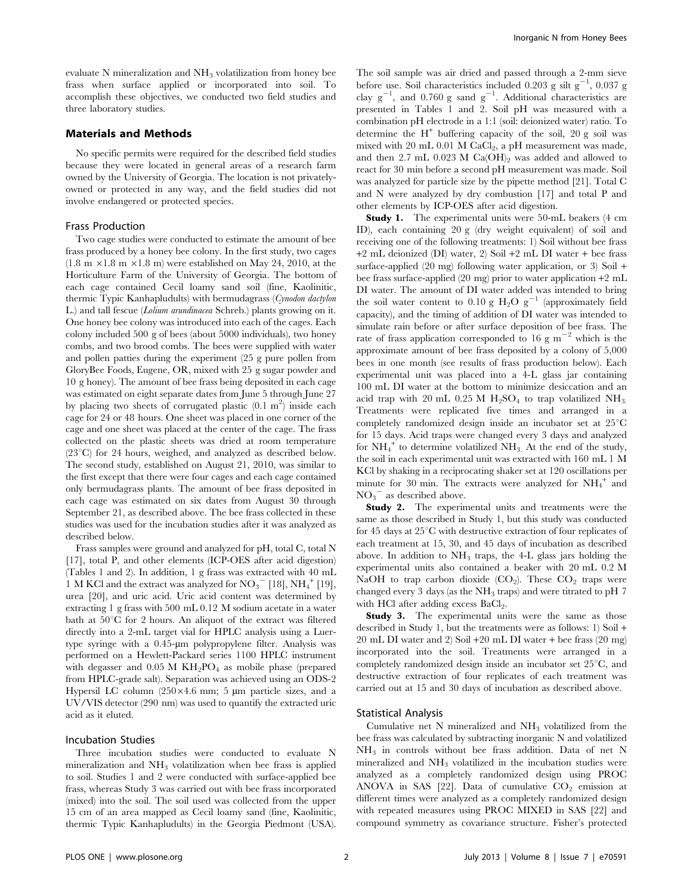evaluate  $N$  mineralization and  $NH<sub>3</sub>$  volatilization from honey bee frass when surface applied or incorporated into soil. To accomplish these objectives, we conducted two field studies and three laboratory studies.

### Materials and Methods

No specific permits were required for the described field studies because they were located in general areas of a research farm owned by the University of Georgia. The location is not privatelyowned or protected in any way, and the field studies did not involve endangered or protected species.

## Frass Production

Two cage studies were conducted to estimate the amount of bee frass produced by a honey bee colony. In the first study, two cages  $(1.8 \text{ m} \times 1.8 \text{ m} \times 1.8 \text{ m})$  were established on May 24, 2010, at the Horticulture Farm of the University of Georgia. The bottom of each cage contained Cecil loamy sand soil (fine, Kaolinitic, thermic Typic Kanhapludults) with bermudagrass (Cynodon dactylon L.) and tall fescue (Lolium arundinacea Schreb.) plants growing on it. One honey bee colony was introduced into each of the cages. Each colony included 500 g of bees (about 5000 individuals), two honey combs, and two brood combs. The bees were supplied with water and pollen patties during the experiment (25 g pure pollen from GloryBee Foods, Eugene, OR, mixed with 25 g sugar powder and 10 g honey). The amount of bee frass being deposited in each cage was estimated on eight separate dates from June 5 through June 27 by placing two sheets of corrugated plastic  $(0.1 \text{ m}^2)$  inside each cage for 24 or 48 hours. One sheet was placed in one corner of the cage and one sheet was placed at the center of the cage. The frass collected on the plastic sheets was dried at room temperature  $(23^{\circ}C)$  for 24 hours, weighed, and analyzed as described below. The second study, established on August 21, 2010, was similar to the first except that there were four cages and each cage contained only bermudagrass plants. The amount of bee frass deposited in each cage was estimated on six dates from August 30 through September 21, as described above. The bee frass collected in these studies was used for the incubation studies after it was analyzed as described below.

Frass samples were ground and analyzed for pH, total C, total N [17], total P, and other elements (ICP-OES after acid digestion) (Tables 1 and 2). In addition, 1 g frass was extracted with 40 mL  $1 \,$  M KCl and the extract was analyzed for  $\mathrm{NO_3}^{-}[18], \mathrm{NH_4}^{+}[19],$ urea [20], and uric acid. Uric acid content was determined by extracting 1 g frass with 500 mL 0.12 M sodium acetate in a water bath at  $50^{\circ}$ C for 2 hours. An aliquot of the extract was filtered directly into a 2-mL target vial for HPLC analysis using a Luertype syringe with a 0.45-um polypropylene filter. Analysis was performed on a Hewlett-Packard series 1100 HPLC instrument with degasser and  $0.05$  M KH<sub>2</sub>PO<sub>4</sub> as mobile phase (prepared from HPLC-grade salt). Separation was achieved using an ODS-2 Hypersil LC column  $(250\times4.6$  mm; 5 µm particle sizes, and a UV/VIS detector (290 nm) was used to quantify the extracted uric acid as it eluted.

#### Incubation Studies

Three incubation studies were conducted to evaluate N mineralization and  $NH<sub>3</sub>$  volatilization when bee frass is applied to soil. Studies 1 and 2 were conducted with surface-applied bee frass, whereas Study 3 was carried out with bee frass incorporated (mixed) into the soil. The soil used was collected from the upper 15 cm of an area mapped as Cecil loamy sand (fine, Kaolinitic, thermic Typic Kanhapludults) in the Georgia Piedmont (USA).

The soil sample was air dried and passed through a 2-mm sieve before use. Soil characteristics included 0.203 g silt  $g^{-1}$ , 0.037 g clay  $g^{-1}$ , and 0.760 g sand  $g^{-1}$ . Additional characteristics are presented in Tables 1 and 2. Soil pH was measured with a combination pH electrode in a 1:1 (soil: deionized water) ratio. To determine the  $H^+$  buffering capacity of the soil, 20 g soil was mixed with 20 mL 0.01 M  $CaCl<sub>2</sub>$ , a pH measurement was made, and then 2.7 mL  $0.023$  M Ca(OH)<sub>2</sub> was added and allowed to react for 30 min before a second pH measurement was made. Soil was analyzed for particle size by the pipette method [21]. Total C and N were analyzed by dry combustion [17] and total P and other elements by ICP-OES after acid digestion.

Study 1. The experimental units were 50-mL beakers (4 cm ID), each containing 20 g (dry weight equivalent) of soil and receiving one of the following treatments: 1) Soil without bee frass +2 mL deionized (DI) water, 2) Soil +2 mL DI water + bee frass surface-applied  $(20 \text{ mg})$  following water application, or  $3$ ) Soil + bee frass surface-applied (20 mg) prior to water application +2 mL DI water. The amount of DI water added was intended to bring the soil water content to 0.10 g  $H_2O g^{-1}$  (approximately field capacity), and the timing of addition of DI water was intended to simulate rain before or after surface deposition of bee frass. The rate of frass application corresponded to 16 g  $m^{-2}$  which is the approximate amount of bee frass deposited by a colony of 5,000 bees in one month (see results of frass production below). Each experimental unit was placed into a 4-L glass jar containing 100 mL DI water at the bottom to minimize desiccation and an acid trap with 20 mL 0.25 M  $H_2SO_4$  to trap volatilized NH<sub>3.</sub> Treatments were replicated five times and arranged in a completely randomized design inside an incubator set at  $25^{\circ}$ C for 15 days. Acid traps were changed every 3 days and analyzed for  $NH_4^+$  to determine volatilized  $NH_3$ . At the end of the study, the soil in each experimental unit was extracted with 160 mL 1 M KCl by shaking in a reciprocating shaker set at 120 oscillations per minute for  $30$  min. The extracts were analyzed for  $NH_4^+$  and  $NO_3$ <sup>-</sup> as described above.

Study 2. The experimental units and treatments were the same as those described in Study 1, but this study was conducted for 45 days at  $25^{\circ}$ C with destructive extraction of four replicates of each treatment at 15, 30, and 45 days of incubation as described above. In addition to  $NH_3$  traps, the 4-L glass jars holding the experimental units also contained a beaker with 20 mL 0.2 M NaOH to trap carbon dioxide  $(CO_2)$ . These  $CO_2$  traps were changed every 3 days (as the  $NH<sub>3</sub>$  traps) and were titrated to pH 7 with HCl after adding excess BaCl<sub>2</sub>.

Study 3. The experimental units were the same as those described in Study 1, but the treatments were as follows: 1) Soil + 20 mL DI water and 2) Soil +20 mL DI water + bee frass (20 mg) incorporated into the soil. Treatments were arranged in a completely randomized design inside an incubator set  $25^{\circ}$ C, and destructive extraction of four replicates of each treatment was carried out at 15 and 30 days of incubation as described above.

#### Statistical Analysis

Cumulative net  $N$  mineralized and  $NH<sub>3</sub>$  volatilized from the bee frass was calculated by subtracting inorganic N and volatilized  $NH<sub>3</sub>$  in controls without bee frass addition. Data of net N mineralized and  $NH<sub>3</sub>$  volatilized in the incubation studies were analyzed as a completely randomized design using PROC ANOVA in SAS [22]. Data of cumulative  $CO<sub>2</sub>$  emission at different times were analyzed as a completely randomized design with repeated measures using PROC MIXED in SAS [22] and compound symmetry as covariance structure. Fisher's protected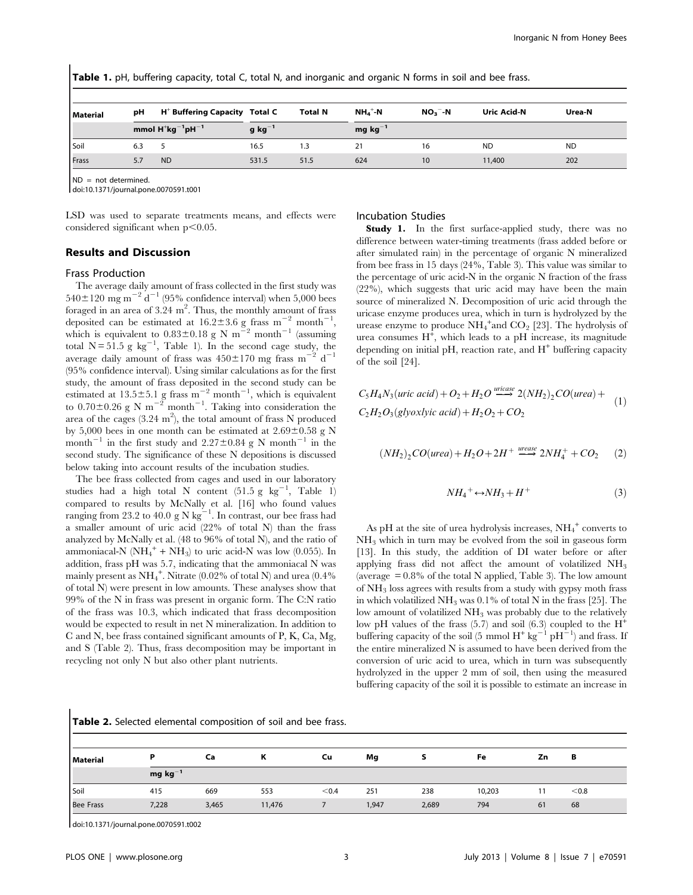Table 1. pH, buffering capacity, total C, total N, and inorganic and organic N forms in soil and bee frass.

| <b>Material</b> | рH  | $H^+$ Buffering Capacity Total C |             | <b>Total N</b> | $NH_4$ <sup>+</sup> -N | $NO3 - N$ | <b>Uric Acid-N</b> | Urea-N    |
|-----------------|-----|----------------------------------|-------------|----------------|------------------------|-----------|--------------------|-----------|
|                 |     | mmol $H^+kg^{-1}pH^{-1}$         | $g kg^{-1}$ |                | mg $kg^{-1}$           |           |                    |           |
| Soil            | 6.3 |                                  | 16.5        | 1.3            |                        | 16        | <b>ND</b>          | <b>ND</b> |
| Frass           |     | <b>ND</b>                        | 531.5       | 51.5           | 624                    | 10        | 11,400             | 202       |

ND = not determined.

doi:10.1371/journal.pone.0070591.t001

LSD was used to separate treatments means, and effects were considered significant when  $p<0.05$ .

# Results and Discussion

#### Frass Production

The average daily amount of frass collected in the first study was  $540\pm120$  mg m<sup>-2</sup> d<sup>-1</sup> (95% confidence interval) when 5,000 bees foraged in an area of  $3.24 \text{ m}^2$ . Thus, the monthly amount of frass deposited can be estimated at  $16.2 \pm 3.6$  g frass m<sup>-2</sup> month<sup>-1</sup>, which is equivalent to  $0.83 \pm 0.18$  g N m<sup>2</sup><sub>2</sub> month<sup>-1</sup> (assuming total  $N = 51.5$  g kg<sup>-1</sup>, Table 1). In the second cage study, the average daily amount of frass was  $450\pm170$  mg frass m<sup>-2</sup> d<sup>-1</sup> (95% confidence interval). Using similar calculations as for the first study, the amount of frass deposited in the second study can be estimated at  $13.5 \pm 5.1$  g frass m<sup>-2</sup> month<sup>-1</sup>, which is equivalent to  $0.70 \pm 0.26$  g N m<sup>-2</sup> month<sup>-1</sup>. Taking into consideration the area of the cages  $(3.24 \text{ m}^2)$ , the total amount of frass N produced by 5,000 bees in one month can be estimated at  $2.69\pm0.58$  g N month<sup>-1</sup> in the first study and 2.27 $\pm$ 0.84 g N month<sup>-1</sup> in the second study. The significance of these N depositions is discussed below taking into account results of the incubation studies.

The bee frass collected from cages and used in our laboratory studies had a high total N content  $(51.5 \text{ g kg}^{-1}, \text{ Table } 1)$ compared to results by McNally et al. [16] who found values ranging from 23.2 to 40.0 g N  $\text{kg}^{-1}$ . In contrast, our bee frass had a smaller amount of uric acid (22% of total N) than the frass analyzed by McNally et al. (48 to 96% of total N), and the ratio of ammoniacal-N  $(NH_4^+ + NH_3)$  to uric acid-N was low (0.055). In addition, frass pH was 5.7, indicating that the ammoniacal N was mainly present as  $\mathrm{NH}_4^+$ . Nitrate (0.02% of total N) and urea (0.4% of total N) were present in low amounts. These analyses show that 99% of the N in frass was present in organic form. The C:N ratio of the frass was 10.3, which indicated that frass decomposition would be expected to result in net N mineralization. In addition to C and N, bee frass contained significant amounts of P, K, Ca, Mg, and S (Table 2). Thus, frass decomposition may be important in recycling not only N but also other plant nutrients.

#### Incubation Studies

Study 1. In the first surface-applied study, there was no difference between water-timing treatments (frass added before or after simulated rain) in the percentage of organic N mineralized from bee frass in 15 days (24%, Table 3). This value was similar to the percentage of uric acid-N in the organic N fraction of the frass (22%), which suggests that uric acid may have been the main source of mineralized N. Decomposition of uric acid through the uricase enzyme produces urea, which in turn is hydrolyzed by the urease enzyme to produce  $NH_4^+$  and  $CO_2$  [23]. The hydrolysis of urea consumes  $H^{\ddagger}$ , which leads to a pH increase, its magnitude depending on initial pH, reaction rate, and  $H^+$  buffering capacity of the soil [24].

$$
C_5H_4N_3(wric acid) + O_2 + H_2O \xrightarrow{wicase} 2(NH_2)_2CO(urea) +
$$
  
\n
$$
C_2H_2O_3(glyoxlyic acid) + H_2O_2 + CO_2
$$
 (1)

$$
(NH2)2 CO(urea) + H2O + 2H+ urease 2NH4+ + CO2
$$
 (2)

$$
NH_4^+ \leftrightarrow NH_3 + H^+ \tag{3}
$$

As pH at the site of urea hydrolysis increases,  $NH_4^+$  converts to  $NH<sub>3</sub>$  which in turn may be evolved from the soil in gaseous form [13]. In this study, the addition of DI water before or after applying frass did not affect the amount of volatilized  $NH<sub>3</sub>$ (average  $= 0.8\%$  of the total N applied, Table 3). The low amount of  $NH<sub>3</sub>$  loss agrees with results from a study with gypsy moth frass in which volatilized  $NH_3$  was 0.1% of total N in the frass [25]. The low amount of volatilized NH<sub>3</sub> was probably due to the relatively low pH values of the frass  $(5.7)$  and soil  $(6.3)$  coupled to the H<sup>+</sup> buffering capacity of the soil (5 mmol  $H^+$  kg<sup>-1</sup> pH<sup>-1</sup>) and frass. If the entire mineralized N is assumed to have been derived from the conversion of uric acid to urea, which in turn was subsequently hydrolyzed in the upper 2 mm of soil, then using the measured buffering capacity of the soil it is possible to estimate an increase in

| Material         | P            | Ca    | n      | Cu    | Mg    |       | Fe     | Ζn | в     |
|------------------|--------------|-------|--------|-------|-------|-------|--------|----|-------|
|                  | mg $kg^{-1}$ |       |        |       |       |       |        |    |       |
| Soil             | 415          | 669   | 553    | < 0.4 | 251   | 238   | 10,203 | 11 | < 0.8 |
| <b>Bee Frass</b> | 7,228        | 3,465 | 11,476 |       | 1,947 | 2,689 | 794    | 61 | 68    |

doi:10.1371/journal.pone.0070591.t002

 $\mathbf{I}$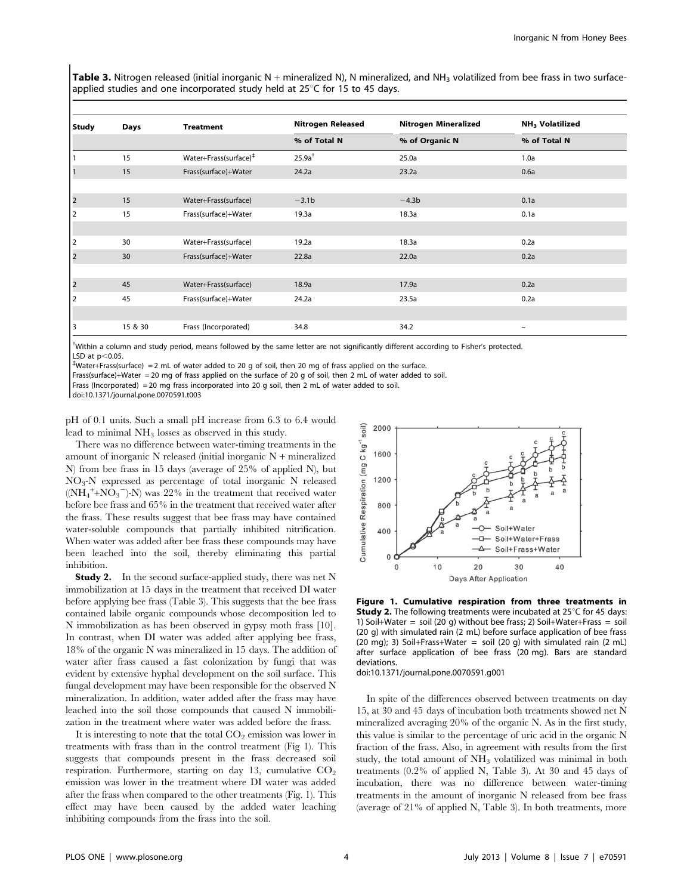Table 3. Nitrogen released (initial inorganic N + mineralized N), N mineralized, and NH<sub>3</sub> volatilized from bee frass in two surfaceapplied studies and one incorporated study held at  $25^{\circ}$ C for 15 to 45 days.

| <b>Study</b>            | Days    | <b>Treatment</b>                  | <b>Nitrogen Released</b> | <b>Nitrogen Mineralized</b> | <b>NH<sub>3</sub></b> Volatilized |  |
|-------------------------|---------|-----------------------------------|--------------------------|-----------------------------|-----------------------------------|--|
|                         |         |                                   | % of Total N             | % of Organic N              | % of Total N                      |  |
| 1                       | 15      | Water+Frass(surface) <sup>‡</sup> | 25.9a <sup>†</sup>       | 25.0a                       | 1.0a                              |  |
| 1                       | 15      | Frass(surface)+Water              | 24.2a                    | 23.2a                       | 0.6a                              |  |
|                         |         |                                   |                          |                             |                                   |  |
| $\vert$ <sub>2</sub>    | 15      | Water+Frass(surface)              | $-3.1b$                  | $-4.3b$                     | 0.1a                              |  |
| 2                       | 15      | Frass(surface)+Water              | 19.3a                    | 18.3a                       | 0.1a                              |  |
|                         |         |                                   |                          |                             |                                   |  |
| $\vert$ <sub>2</sub>    | 30      | Water+Frass(surface)              | 19.2a                    | 18.3a                       | 0.2a                              |  |
| $\vert$ <sub>2</sub>    | 30      | Frass(surface)+Water              | 22.8a                    | 22.0a                       | 0.2a                              |  |
|                         |         |                                   |                          |                             |                                   |  |
| $\overline{\mathbf{r}}$ | 45      | Water+Frass(surface)              | 18.9a                    | 17.9a                       | 0.2a                              |  |
| 2                       | 45      | Frass(surface)+Water              | 24.2a                    | 23.5a                       | 0.2a                              |  |
|                         |         |                                   |                          |                             |                                   |  |
| 3                       | 15 & 30 | Frass (Incorporated)              | 34.8                     | 34.2                        |                                   |  |

{ Within a column and study period, means followed by the same letter are not significantly different according to Fisher's protected. LSD at p<0.05.<br><sup>‡</sup>Water+Frass(surface) =2 mL of water added to 20 g of soil, then 20 mg of frass applied on the surface.

Frass(surface)+Water = 20 mg of frass applied on the surface of 20 g of soil, then 2 mL of water added to soil.

Frass (Incorporated) = 20 mg frass incorporated into 20 g soil, then 2 mL of water added to soil.

doi:10.1371/journal.pone.0070591.t003

pH of 0.1 units. Such a small pH increase from 6.3 to 6.4 would lead to minimal  $NH_3$  losses as observed in this study.

There was no difference between water-timing treatments in the amount of inorganic N released (initial inorganic N + mineralized N) from bee frass in 15 days (average of 25% of applied N), but NO3-N expressed as percentage of total inorganic N released  $((NH_4^+ + NO_3^-) - N)$  was 22% in the treatment that received water before bee frass and 65% in the treatment that received water after the frass. These results suggest that bee frass may have contained water-soluble compounds that partially inhibited nitrification. When water was added after bee frass these compounds may have been leached into the soil, thereby eliminating this partial inhibition.

**Study 2.** In the second surface-applied study, there was net N immobilization at 15 days in the treatment that received DI water before applying bee frass (Table 3). This suggests that the bee frass contained labile organic compounds whose decomposition led to N immobilization as has been observed in gypsy moth frass [10]. In contrast, when DI water was added after applying bee frass, 18% of the organic N was mineralized in 15 days. The addition of water after frass caused a fast colonization by fungi that was evident by extensive hyphal development on the soil surface. This fungal development may have been responsible for the observed N mineralization. In addition, water added after the frass may have leached into the soil those compounds that caused N immobilization in the treatment where water was added before the frass.

It is interesting to note that the total  $CO<sub>2</sub>$  emission was lower in treatments with frass than in the control treatment (Fig 1). This suggests that compounds present in the frass decreased soil respiration. Furthermore, starting on day 13, cumulative  $CO<sub>2</sub>$ emission was lower in the treatment where DI water was added after the frass when compared to the other treatments (Fig. 1). This effect may have been caused by the added water leaching inhibiting compounds from the frass into the soil.



Figure 1. Cumulative respiration from three treatments in **Study 2.** The following treatments were incubated at  $25^{\circ}$ C for 45 days: 1) Soil+Water = soil (20 g) without bee frass; 2) Soil+Water+Frass = soil (20 g) with simulated rain (2 mL) before surface application of bee frass (20 mg); 3) Soil+Frass+Water = soil (20 g) with simulated rain (2 mL) after surface application of bee frass (20 mg). Bars are standard deviations.

doi:10.1371/journal.pone.0070591.g001

In spite of the differences observed between treatments on day 15, at 30 and 45 days of incubation both treatments showed net N mineralized averaging 20% of the organic N. As in the first study, this value is similar to the percentage of uric acid in the organic N fraction of the frass. Also, in agreement with results from the first study, the total amount of  $NH<sub>3</sub>$  volatilized was minimal in both treatments (0.2% of applied N, Table 3). At 30 and 45 days of incubation, there was no difference between water-timing treatments in the amount of inorganic N released from bee frass (average of 21% of applied N, Table 3). In both treatments, more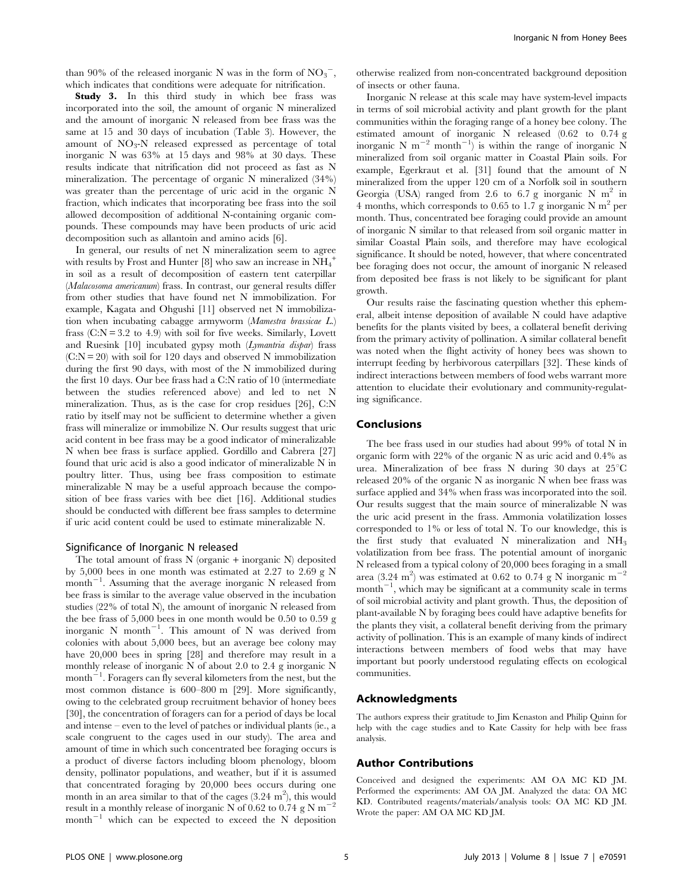than 90% of the released inorganic N was in the form of  $NO_3^-$ , which indicates that conditions were adequate for nitrification.

Study 3. In this third study in which bee frass was incorporated into the soil, the amount of organic N mineralized and the amount of inorganic N released from bee frass was the same at 15 and 30 days of incubation (Table 3). However, the amount of  $NO<sub>3</sub>-N$  released expressed as percentage of total inorganic N was 63% at 15 days and 98% at 30 days. These results indicate that nitrification did not proceed as fast as N mineralization. The percentage of organic N mineralized (34%) was greater than the percentage of uric acid in the organic N fraction, which indicates that incorporating bee frass into the soil allowed decomposition of additional N-containing organic compounds. These compounds may have been products of uric acid decomposition such as allantoin and amino acids [6].

In general, our results of net N mineralization seem to agree with results by Frost and Hunter [8] who saw an increase in  $\mathrm{NH}_4^+$ in soil as a result of decomposition of eastern tent caterpillar (Malacosoma americanum) frass. In contrast, our general results differ from other studies that have found net N immobilization. For example, Kagata and Ohgushi [11] observed net N immobilization when incubating cabagge armyworm (Mamestra brassicae L.) frass  $(C:N = 3.2$  to 4.9) with soil for five weeks. Similarly, Lovett and Ruesink [10] incubated gypsy moth (Lymantria dispar) frass  $(C:N = 20)$  with soil for 120 days and observed N immobilization during the first 90 days, with most of the N immobilized during the first 10 days. Our bee frass had a C:N ratio of 10 (intermediate between the studies referenced above) and led to net N mineralization. Thus, as is the case for crop residues [26], C:N ratio by itself may not be sufficient to determine whether a given frass will mineralize or immobilize N. Our results suggest that uric acid content in bee frass may be a good indicator of mineralizable N when bee frass is surface applied. Gordillo and Cabrera [27] found that uric acid is also a good indicator of mineralizable N in poultry litter. Thus, using bee frass composition to estimate mineralizable N may be a useful approach because the composition of bee frass varies with bee diet [16]. Additional studies should be conducted with different bee frass samples to determine if uric acid content could be used to estimate mineralizable N.

#### Significance of Inorganic N released

The total amount of frass  $N$  (organic + inorganic  $N$ ) deposited by 5,000 bees in one month was estimated at 2.27 to 2.69 g N month<sup>-1</sup>. Assuming that the average inorganic N released from bee frass is similar to the average value observed in the incubation studies (22% of total N), the amount of inorganic N released from the bee frass of 5,000 bees in one month would be 0.50 to 0.59 g inorganic N month<sup>-1</sup>. This amount of N was derived from colonies with about 5,000 bees, but an average bee colony may have 20,000 bees in spring [28] and therefore may result in a monthly release of inorganic N of about 2.0 to 2.4 g inorganic N month<sup> $-1$ </sup>. Foragers can fly several kilometers from the nest, but the most common distance is 600–800 m [29]. More significantly, owing to the celebrated group recruitment behavior of honey bees [30], the concentration of foragers can for a period of days be local and intense – even to the level of patches or individual plants (ie., a scale congruent to the cages used in our study). The area and amount of time in which such concentrated bee foraging occurs is a product of diverse factors including bloom phenology, bloom density, pollinator populations, and weather, but if it is assumed that concentrated foraging by 20,000 bees occurs during one month in an area similar to that of the cages  $(3.24 \text{ m}^2)$ , this would result in a monthly release of inorganic N of 0.62 to 0.74 g N  $\mathrm{m}^{-2}$ month<sup> $-1$ </sup> which can be expected to exceed the N deposition otherwise realized from non-concentrated background deposition of insects or other fauna.

Inorganic N release at this scale may have system-level impacts in terms of soil microbial activity and plant growth for the plant communities within the foraging range of a honey bee colony. The estimated amount of inorganic N released (0.62 to 0.74 g inorganic N m<sup>-2</sup> month<sup>-1</sup>) is within the range of inorganic N mineralized from soil organic matter in Coastal Plain soils. For example, Egerkraut et al. [31] found that the amount of N mineralized from the upper 120 cm of a Norfolk soil in southern Georgia (USA) ranged from 2.6 to 6.7 g inorganic N  $m<sup>2</sup>$  in 4 months, which corresponds to 0.65 to 1.7 g inorganic N  $m^2$  per month. Thus, concentrated bee foraging could provide an amount of inorganic N similar to that released from soil organic matter in similar Coastal Plain soils, and therefore may have ecological significance. It should be noted, however, that where concentrated bee foraging does not occur, the amount of inorganic N released from deposited bee frass is not likely to be significant for plant growth.

Our results raise the fascinating question whether this ephemeral, albeit intense deposition of available N could have adaptive benefits for the plants visited by bees, a collateral benefit deriving from the primary activity of pollination. A similar collateral benefit was noted when the flight activity of honey bees was shown to interrupt feeding by herbivorous caterpillars [32]. These kinds of indirect interactions between members of food webs warrant more attention to elucidate their evolutionary and community-regulating significance.

### Conclusions

The bee frass used in our studies had about 99% of total N in organic form with 22% of the organic N as uric acid and 0.4% as urea. Mineralization of bee frass N during 30 days at  $25^{\circ}$ C released 20% of the organic N as inorganic N when bee frass was surface applied and 34% when frass was incorporated into the soil. Our results suggest that the main source of mineralizable N was the uric acid present in the frass. Ammonia volatilization losses corresponded to 1% or less of total N. To our knowledge, this is the first study that evaluated N mineralization and  $NH<sub>3</sub>$ volatilization from bee frass. The potential amount of inorganic N released from a typical colony of 20,000 bees foraging in a small area (3.24 m<sup>2</sup>) was estimated at 0.62 to 0.74 g N inorganic m<sup>-2</sup>  $month^{-1}$ , which may be significant at a community scale in terms of soil microbial activity and plant growth. Thus, the deposition of plant-available N by foraging bees could have adaptive benefits for the plants they visit, a collateral benefit deriving from the primary activity of pollination. This is an example of many kinds of indirect interactions between members of food webs that may have important but poorly understood regulating effects on ecological communities.

#### Acknowledgments

The authors express their gratitude to Jim Kenaston and Philip Quinn for help with the cage studies and to Kate Cassity for help with bee frass analysis.

# Author Contributions

Conceived and designed the experiments: AM OA MC KD JM. Performed the experiments: AM OA JM. Analyzed the data: OA MC KD. Contributed reagents/materials/analysis tools: OA MC KD JM. Wrote the paper: AM OA MC KD JM.